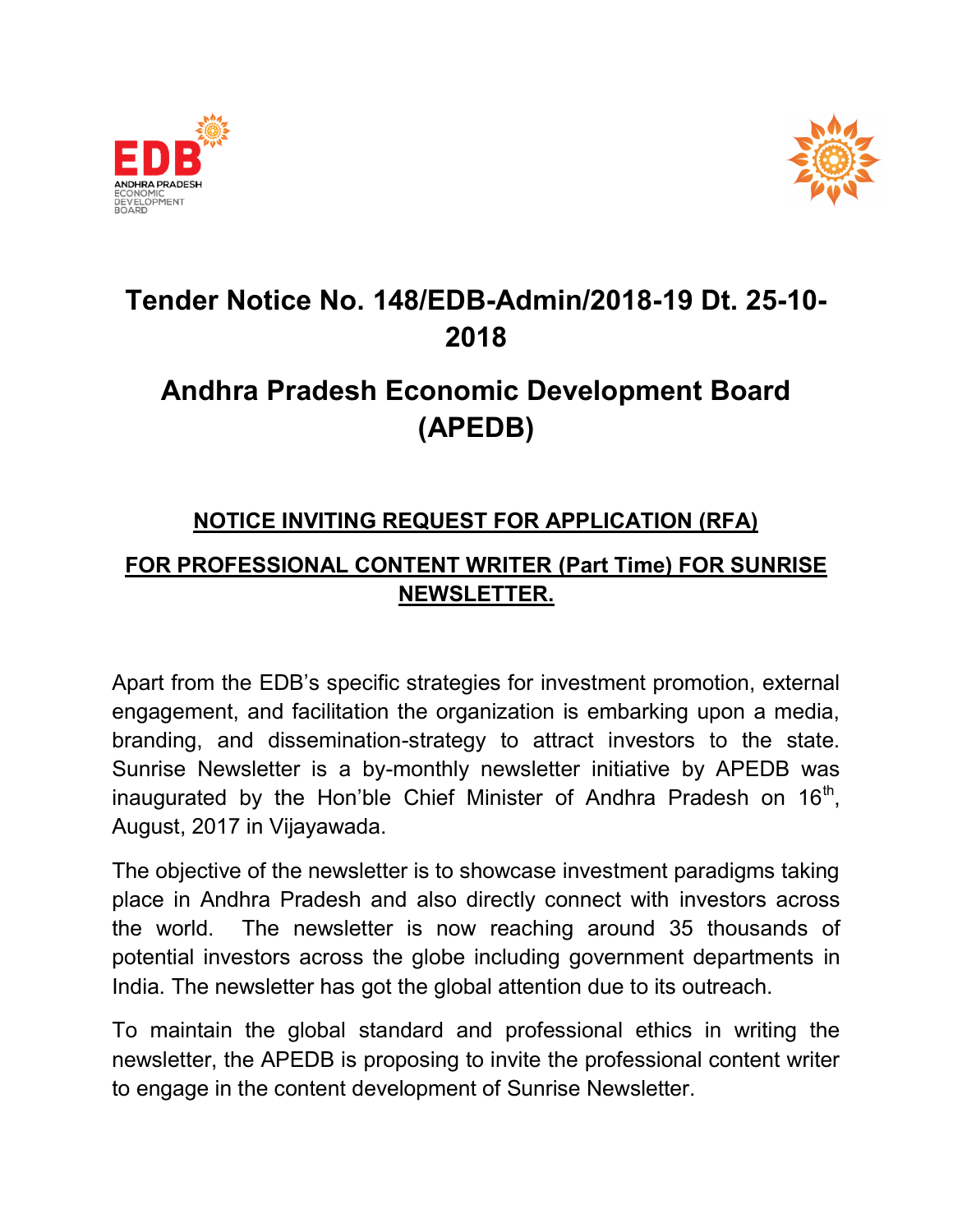



## Tender Notice No. Tender No. 148/EDB-Admin/2018-19 Dt. 2 2018

# Andhra Pradesh Economic Development Board Andhra Pradesh Economic (APEDB)

### NOTICE INVITING REQUEST FOR APPLICATION (RFA)

# <u>NOTICE INVITING REQUEST FOR APPLICATION (RFA)</u><br>FOR PROFESSIONAL CONTENT WRITER (Part Time) FOR SUNRISE NEWSLETTER.

Apart from the EDB's specific strategies for investment promotion, external engagement, and facilitation the organization is embarking upon a media, branding, and dissemination-strategy to attract investors to<br>Sunrise Newsletter is a by-monthly newsletter initiative by Al Sunrise Newsletter is a by-monthly newsletter initiative by APEDB was inaugurated by the Hon'ble Chief Minister of Andhra Pradesh on 16<sup>th</sup>,<br>August, 2017 in Vijayawada.<br>The objective of the newsletter is to showcase investment paradigms taking<br>place in Andhra Pradesh and also directly connec August, 2017 in Vijayawada. Apart from the EDB's specific strategies for investment promotion, external<br>engagement, and facilitation the organization is embarking upon a media,<br>branding, and dissemination-strategy to attract investors to the **:-Admin/2018-19 Dt. 25-10-18**<br> **18**<br> **nic Development Board DB)**<br> **ITER (Part Time) FOR SUNRISE**<br> **ETTER.**<br> **ESPECATION (RFA)**<br> **IRITER (Part Time) FOR SUNRISE**<br> **ETTER.**<br> **ESPECATION (RFA)**<br> **ITER.**<br> **ESPECATION (RFA)**<br>

The objective of the newsletter is to showcase investment paradigms taking place in Andhra Pradesh and also directly connect with the world. The newsletter is now reaching around 35 thousands of potential investors across the globe including government departments in India. The newsletter has got the global attention due to its outreach. the world. The newsletter is now reaching around 35 thousands of<br>potential investors across the globe including government departments in<br>India. The newsletter has got the global attention due to its outreach.<br>To maintain

newsletter, the APEDB is proposing to invite the professional content writer to engage in the content development of Sunrise Newsletter.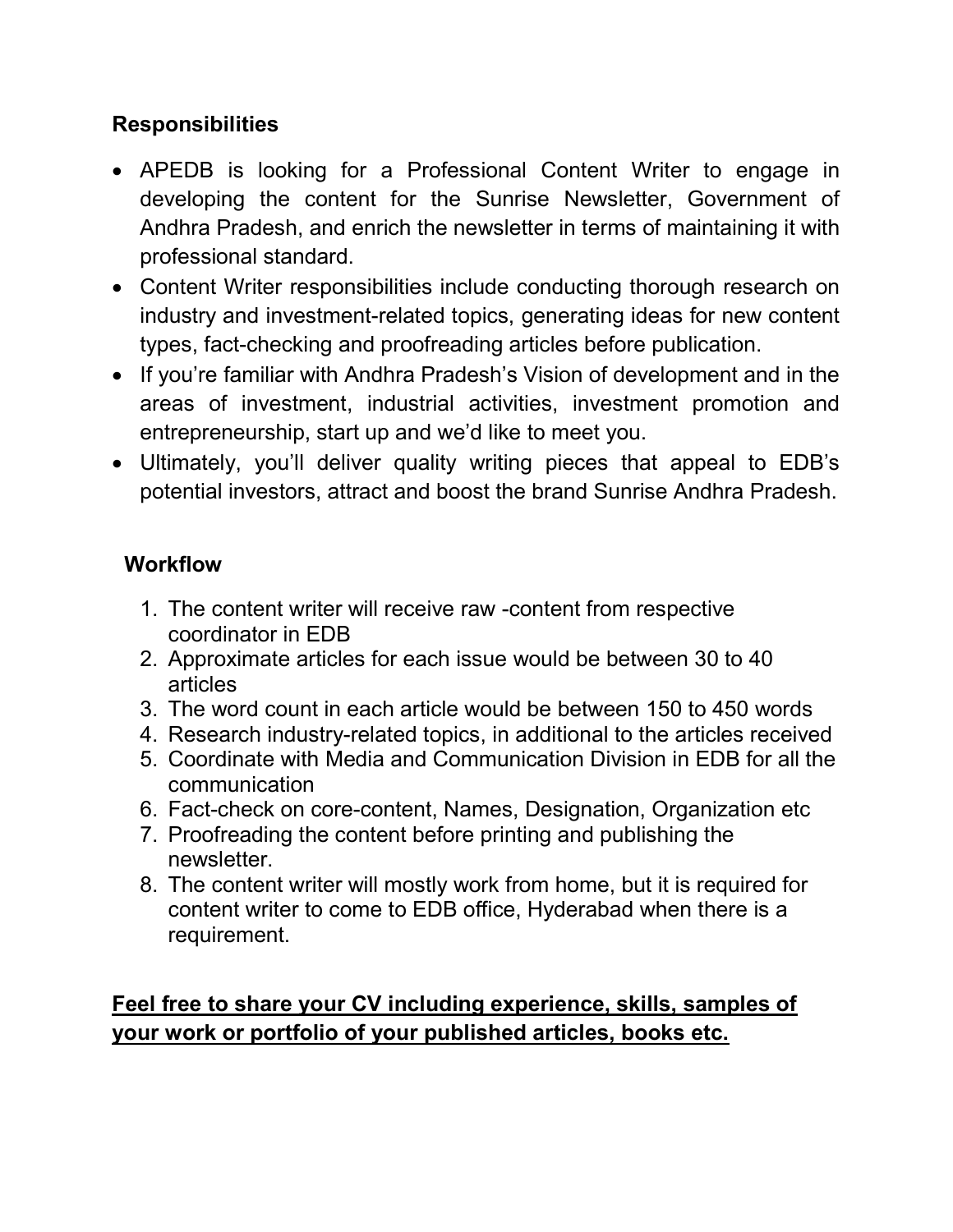#### **Responsibilities**

- APEDB is looking for a Professional Content Writer to engage in developing the content for the Sunrise Newsletter, Government of Andhra Pradesh, and enrich the newsletter in terms of maintaining it with professional standard.
- Content Writer responsibilities include conducting thorough research on industry and investment-related topics, generating ideas for new content types, fact-checking and proofreading articles before publication.
- If you're familiar with Andhra Pradesh's Vision of development and in the areas of investment, industrial activities, investment promotion and entrepreneurship, start up and we'd like to meet you.
- Ultimately, you'll deliver quality writing pieces that appeal to EDB's potential investors, attract and boost the brand Sunrise Andhra Pradesh.

#### **Workflow**

- 1. The content writer will receive raw -content from respective coordinator in EDB
- 2. Approximate articles for each issue would be between 30 to 40 articles
- 3. The word count in each article would be between 150 to 450 words
- 4. Research industry-related topics, in additional to the articles received
- 5. Coordinate with Media and Communication Division in EDB for all the communication
- 6. Fact-check on core-content, Names, Designation, Organization etc
- 7. Proofreading the content before printing and publishing the newsletter.
- 8. The content writer will mostly work from home, but it is required for content writer to come to EDB office, Hyderabad when there is a requirement.

#### Feel free to share your CV including experience, skills, samples of your work or portfolio of your published articles, books etc.